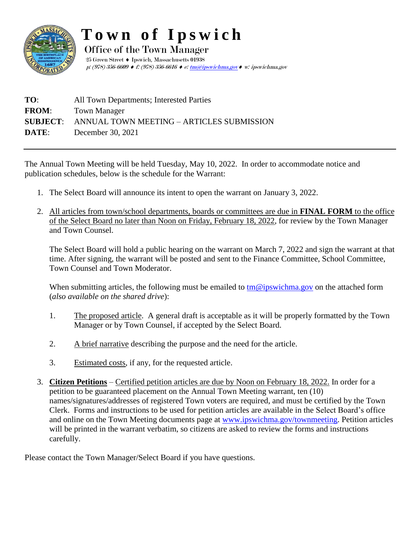

## **T o w n o f I p s w i c h**

Office of the Town Manager  $25$  Green Street  $\blacklozenge$  Ipswich, Massachusetts  $01938$ p: (978) 356-6609  $\blacklozenge$  f: (978) 356-6616  $\blacklozenge$  e[: tm@ipswichma.gov](mailto:tm@ipswich-ma.gov)  $\blacklozenge$  w: ipswichma.gov

| TO:          | All Town Departments; Interested Parties                  |
|--------------|-----------------------------------------------------------|
| <b>FROM:</b> | Town Manager                                              |
|              | <b>SUBJECT:</b> ANNUAL TOWN MEETING – ARTICLES SUBMISSION |
| DATE:        | December 30, 2021                                         |

The Annual Town Meeting will be held Tuesday, May 10, 2022. In order to accommodate notice and publication schedules, below is the schedule for the Warrant:

- 1. The Select Board will announce its intent to open the warrant on January 3, 2022.
- 2. All articles from town/school departments, boards or committees are due in **FINAL FORM** to the office of the Select Board no later than Noon on Friday, February 18, 2022, for review by the Town Manager and Town Counsel.

The Select Board will hold a public hearing on the warrant on March 7, 2022 and sign the warrant at that time. After signing, the warrant will be posted and sent to the Finance Committee, School Committee, Town Counsel and Town Moderator.

When submitting articles, the following must be emailed to  $tm@ipswichma.gov$  on the attached form (*also available on the shared drive*):

- 1. The proposed article. A general draft is acceptable as it will be properly formatted by the Town Manager or by Town Counsel, if accepted by the Select Board.
- 2. A brief narrative describing the purpose and the need for the article.
- 3. Estimated costs, if any, for the requested article.
- 3. **Citizen Petitions** Certified petition articles are due by Noon on February 18, 2022. In order for a petition to be guaranteed placement on the Annual Town Meeting warrant, ten (10) names/signatures/addresses of registered Town voters are required, and must be certified by the Town Clerk. Forms and instructions to be used for petition articles are available in the Select Board's office and online on the Town Meeting documents page at [www.ipswichma.gov/](http://www.ipswichma.gov/)townmeeting. Petition articles will be printed in the warrant verbatim, so citizens are asked to review the forms and instructions carefully.

Please contact the Town Manager/Select Board if you have questions.